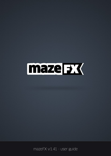

mazeFX v1.41 - user guide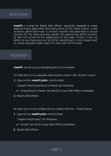

**mazeFX** is a script for Adobe After Effects, specifically designed to create graphical mazes (labyrinths). With every press of the create button, a new randomly generated maze is created. mazeFX also generates a unique solution for the maze and also creates the appropriate effect controls, to take full control of the appearance of the maze. Finally, it has the ability to use masks and put all of the needed parts in one shape layer or create separate shape layers for each part of the maze.

### installation

**mazeFX** can be run as a dockable panel or as a window.

To install and run as a dockable panel (will be visible in the "Window" menu):

**1.** Copy the file **mazeFX.jsxbin** into the folder:

"..Support Files/Scripts/Script UI Panels" (on Windows)

or "..Scripts/Script UI Panels" (on MacOS) of your After Effects installation.

**2.** Restart After Effects

To install and run as a window (will be visible in the File -> Scripts Menu):

**1.** Copy the file **mazeFX.jsxbin** into the folder:

"..Support Files/Scripts/" (on Windows)

or "..Scripts/" (on OS X) of your After Effects installation.

**2.** Restart After Effects

### page 2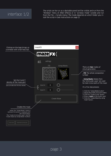## interface 1/2

The script can be run as a dockable panel (will be visible and run from the "Window" menu of After Effects) or in "window mode" (visible and run from the File -> Scripts menu). The mode depends on which folder you install the script in (see instructions on page 2)

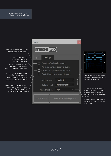# interface 2/2

|                                                                                                                                                                                                                                                                             | mazeFX                                                                                                                                                                         |                           |                                                                                                                                           |
|-----------------------------------------------------------------------------------------------------------------------------------------------------------------------------------------------------------------------------------------------------------------------------|--------------------------------------------------------------------------------------------------------------------------------------------------------------------------------|---------------------------|-------------------------------------------------------------------------------------------------------------------------------------------|
| The wall at the start & end of<br>the solution is kept closed<br>By default every part of<br>the maze is created in<br>a single shape layer<br>By checking this checkbox<br>every part of the maze is<br>put on a different shape layer<br>A null layer is created, that is | maze FX<br>grid<br>settings<br>Keep start/end walls closed?<br>Put maze parts on separate layers<br>Create a null that follows the path<br>Create filled boxes, on empty parts |                           |                                                                                                                                           |
| attached at the tip of the<br>solution path and follows its<br>position (CC2018 and above)                                                                                                                                                                                  | Solution start:                                                                                                                                                                | Top (left)                | The start & end points of the<br>solution path can be set to 13<br>predefined positions.                                                  |
| When using the "Using Masks"<br>mode, every cell of the grid<br>that is masked out, will<br>generate a color-filled box                                                                                                                                                     | Solution end:<br>Mask precision:                                                                                                                                               | Bottom (right)<br>high    | When using a layer mask to<br>mask in/out parts of the grid,<br>mazeFX needs to make more<br>precise calculations for bezier<br>vertices. |
|                                                                                                                                                                                                                                                                             | Create Guide                                                                                                                                                                   | Create Maze by using mask | If you're using masks with a<br>lot of bezier vertices then set<br>this to 'high'.                                                        |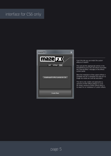## interface for CS6 only

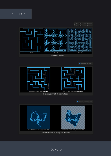examples





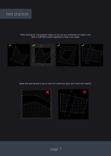## best practices

When utilizing the "Using Masks" mode, you can use any combination of masks in the ADD or SUBTRACK mode to generate a maze in any shape.



Masks that split the grid in two or more non-continuous parts, don't work with mazeFX.



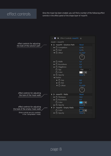## effect controls

Once the maze has been created, you will find a number of the following effect controls in the effect panel of the shape layer of mazeFX.

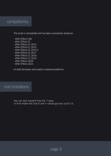

The script is compatible and has been successfully tested on:

- After Effects CS6
- After Effects CC
- After Effects CC 2014
- After Effects CC 2015
- After Effects CC 2015.3
- After Effects CC 2017
- After Effects CC 2018
- After Effects CC 2019
- After Effects 2020
- After Effects 2021

on both Windows and macOs (+catalina) platforms.

## trial limitations

You can test mazeFX free for 7 days. In trial mode the Grid X and Y values go only up to 15.

page 9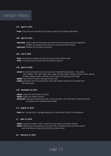

#### 1.41 April 27, 2021

- fixed: a bug that was preventing non-square mazes to be properly generated

#### 1.40 April 15, 2021

- **optimized:** vastly improved the speed and efficiency of the maze generation algorithm. mazeFX now produces over 60% less vertices and path shapes!
- **optimized:** updated the licensing framework

#### 1.32 July 8, 2020

- fixed: some glitches appearing while 3D extruding the solution path
- fixed: a licensing issue on some Korean Windows systems

#### 1.30 April 24, 2020

- added: the start & end points can now be set to 13 predefined positions -> Top (right), Top (middle), Top (left), Right (top), Right (middle), Right (bottom), Bottom (left), Bottom (middle), Bottom (right), Left (top), Left (middle), Left (bottom) and Center.
- added: more efficient (faster) maze generation code
- added: expression errors are supressed, when the mazeFX controls are removed from the shape layer

#### 1.20 November 18, 2019

- added: support for After Effects CC2020
- added: support for MacOS Catalina
- **optimized:** redesigned progress bar that is more accurate, more informative, and works both in window and in dockable panel mode.

#### 1.11 August 14, 2019

- fixed: the "missing effect" message appearing on some After Effects CS6 installations

#### 1.1 April 15, 2019

- **added:** support for bezier masks. mazeFX can use masks with bezier vertices
- added: mazeFX can now generate a null layer that is attached at the tip of the solution path and follows its position (CC2018 and above only)

page 10

#### 1.0 February 15, 2018